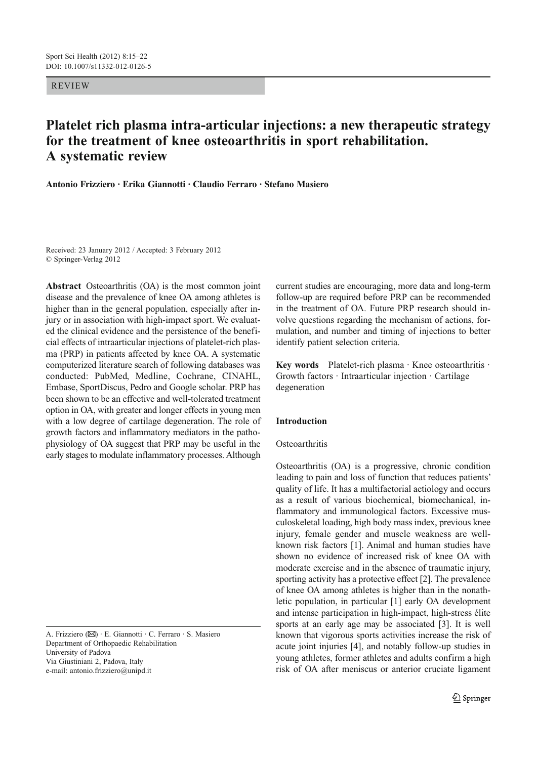### REVIEW

# **Platelet rich plasma intra-articular injections: a new therapeutic strategy for the treatment of knee osteoarthritis in sport rehabilitation. A systematic review**

**Antonio Frizziero · Erika Giannotti · Claudio Ferraro · Stefano Masiero**

Received: 23 January 2012 / Accepted: 3 February 2012 © Springer-Verlag 2012

**Abstract** Osteoarthritis (OA) is the most common joint disease and the prevalence of knee OA among athletes is higher than in the general population, especially after injury or in association with high-impact sport. We evaluated the clinical evidence and the persistence of the beneficial effects of intraarticular injections of platelet-rich plasma (PRP) in patients affected by knee OA. A systematic computerized literature search of following databases was conducted: PubMed, Medline, Cochrane, CINAHL, Embase, SportDiscus, Pedro and Google scholar. PRP has been shown to be an effective and well-tolerated treatment option in OA, with greater and longer effects in young men with a low degree of cartilage degeneration. The role of growth factors and inflammatory mediators in the pathophysiology of OA suggest that PRP may be useful in the early stages to modulate inflammatory processes. Although

A. Frizziero ( $\boxtimes$ ) · E. Giannotti · C. Ferraro · S. Masiero Department of Orthopaedic Rehabilitation University of Padova Via Giustiniani 2, Padova, Italy e-mail: antonio.frizziero@unipd.it

current studies are encouraging, more data and long-term follow-up are required before PRP can be recommended in the treatment of OA. Future PRP research should involve questions regarding the mechanism of actions, formulation, and number and timing of injections to better identify patient selection criteria.

**Key words** Platelet-rich plasma · Knee osteoarthritis · Growth factors · Intraarticular injection · Cartilage degeneration

# **Introduction**

## **Osteoarthritis**

Osteoarthritis (OA) is a progressive, chronic condition leading to pain and loss of function that reduces patients' quality of life. It has a multifactorial aetiology and occurs as a result of various biochemical, biomechanical, inflammatory and immunological factors. Excessive musculoskeletal loading, high body mass index, previous knee injury, female gender and muscle weakness are wellknown risk factors [1]. Animal and human studies have shown no evidence of increased risk of knee OA with moderate exercise and in the absence of traumatic injury, sporting activity has a protective effect [2]. The prevalence of knee OA among athletes is higher than in the nonathletic population, in particular [1] early OA development and intense participation in high-impact, high-stress élite sports at an early age may be associated [3]. It is well known that vigorous sports activities increase the risk of acute joint injuries [4], and notably follow-up studies in young athletes, former athletes and adults confirm a high risk of OA after meniscus or anterior cruciate ligament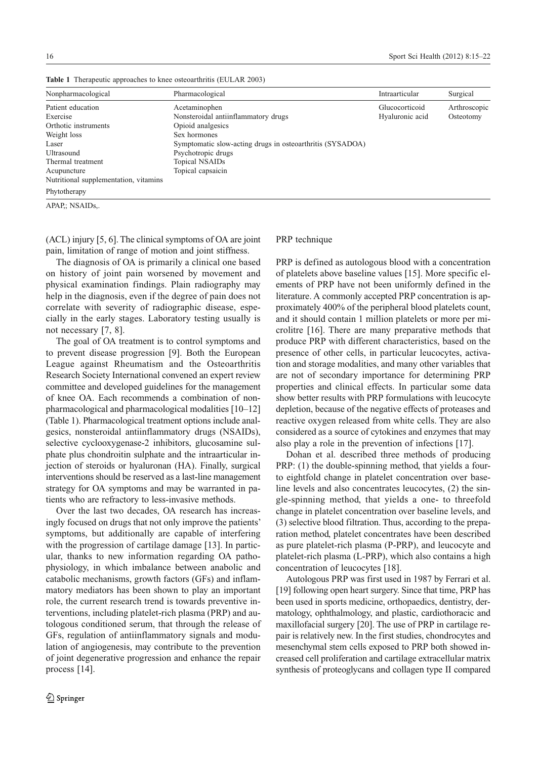| Nonpharmacological                    | Pharmacological                                           | Intraarticular  | Surgical     |  |
|---------------------------------------|-----------------------------------------------------------|-----------------|--------------|--|
| Patient education                     | Acetaminophen                                             | Glucocorticoid  | Arthroscopic |  |
| Exercise                              | Nonsteroidal antiinflammatory drugs                       | Hyaluronic acid | Osteotomy    |  |
| Orthotic instruments                  | Opioid analgesics                                         |                 |              |  |
| Weight loss                           | Sex hormones                                              |                 |              |  |
| Laser                                 | Symptomatic slow-acting drugs in osteoarthritis (SYSADOA) |                 |              |  |
| Ultrasound                            | Psychotropic drugs                                        |                 |              |  |
| Thermal treatment                     | Topical NSAIDs                                            |                 |              |  |
| Acupuncture                           | Topical capsaicin                                         |                 |              |  |
| Nutritional supplementation, vitamins |                                                           |                 |              |  |
| Phytotherapy                          |                                                           |                 |              |  |

**Table 1** Therapeutic approaches to knee osteoarthritis (EULAR 2003)

APAP,; NSAIDs,.

(ACL) injury [5, 6]. The clinical symptoms of OA are joint pain, limitation of range of motion and joint stiffness.

The diagnosis of OA is primarily a clinical one based on history of joint pain worsened by movement and physical examination findings. Plain radiography may help in the diagnosis, even if the degree of pain does not correlate with severity of radiographic disease, especially in the early stages. Laboratory testing usually is not necessary [7, 8].

The goal of OA treatment is to control symptoms and to prevent disease progression [9]. Both the European League against Rheumatism and the Osteoarthritis Research Society International convened an expert review committee and developed guidelines for the management of knee OA. Each recommends a combination of nonpharmacological and pharmacological modalities [10–12] (Table 1). Pharmacological treatment options include analgesics, nonsteroidal antiinflammatory drugs (NSAIDs), selective cyclooxygenase-2 inhibitors, glucosamine sulphate plus chondroitin sulphate and the intraarticular injection of steroids or hyaluronan (HA). Finally, surgical interventions should be reserved as a last-line management strategy for OA symptoms and may be warranted in patients who are refractory to less-invasive methods.

Over the last two decades, OA research has increasingly focused on drugs that not only improve the patients' symptoms, but additionally are capable of interfering with the progression of cartilage damage [13]. In particular, thanks to new information regarding OA pathophysiology, in which imbalance between anabolic and catabolic mechanisms, growth factors (GFs) and inflammatory mediators has been shown to play an important role, the current research trend is towards preventive interventions, including platelet-rich plasma (PRP) and autologous conditioned serum, that through the release of GFs, regulation of antiinflammatory signals and modulation of angiogenesis, may contribute to the prevention of joint degenerative progression and enhance the repair process [14].

#### PRP technique

PRP is defined as autologous blood with a concentration of platelets above baseline values [15]. More specific elements of PRP have not been uniformly defined in the literature. A commonly accepted PRP concentration is approximately 400% of the peripheral blood platelets count, and it should contain 1 million platelets or more per microlitre [16]. There are many preparative methods that produce PRP with different characteristics, based on the presence of other cells, in particular leucocytes, activation and storage modalities, and many other variables that are not of secondary importance for determining PRP properties and clinical effects. In particular some data show better results with PRP formulations with leucocyte depletion, because of the negative effects of proteases and reactive oxygen released from white cells. They are also considered as a source of cytokines and enzymes that may also play a role in the prevention of infections [17].

Dohan et al. described three methods of producing PRP: (1) the double-spinning method, that yields a fourto eightfold change in platelet concentration over baseline levels and also concentrates leucocytes, (2) the single-spinning method, that yields a one- to threefold change in platelet concentration over baseline levels, and (3) selective blood filtration. Thus, according to the preparation method, platelet concentrates have been described as pure platelet-rich plasma (P-PRP), and leucocyte and platelet-rich plasma (L-PRP), which also contains a high concentration of leucocytes [18].

Autologous PRP was first used in 1987 by Ferrari et al. [19] following open heart surgery. Since that time, PRP has been used in sports medicine, orthopaedics, dentistry, dermatology, ophthalmology, and plastic, cardiothoracic and maxillofacial surgery [20]. The use of PRP in cartilage repair is relatively new. In the first studies, chondrocytes and mesenchymal stem cells exposed to PRP both showed increased cell proliferation and cartilage extracellular matrix synthesis of proteoglycans and collagen type II compared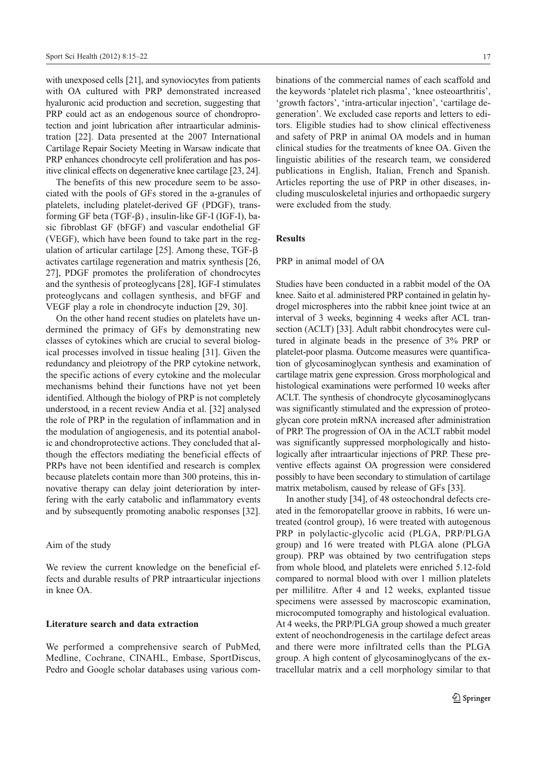with unexposed cells [21], and synoviocytes from patients with OA cultured with PRP demonstrated increased hyaluronic acid production and secretion, suggesting that PRP could act as an endogenous source of chondroprotection and joint lubrication after intraarticular administration [22]. Data presented at the 2007 International Cartilage Repair Society Meeting in Warsaw indicate that PRP enhances chondrocyte cell proliferation and has positive clinical effects on degenerative knee cartilage [23, 24].

The benefits of this new procedure seem to be associated with the pools of GFs stored in the a-granules of platelets, including platelet-derived GF (PDGF), transforming GF beta  $(TGF- $\beta$ )$ , insulin-like GF-I (IGF-I), basic fibroblast GF (bFGF) and vascular endothelial GF (VEGF), which have been found to take part in the regulation of articular cartilage [25]. Among these, TGF- $\beta$ activates cartilage regeneration and matrix synthesis [26, 27], PDGF promotes the proliferation of chondrocytes and the synthesis of proteoglycans [28], IGF-I stimulates proteoglycans and collagen synthesis, and bFGF and VEGF play a role in chondrocyte induction [29, 30].

On the other hand recent studies on platelets have undermined the primacy of GFs by demonstrating new classes of cytokines which are crucial to several biological processes involved in tissue healing [31]. Given the redundancy and pleiotropy of the PRP cytokine network, the specific actions of every cytokine and the molecular mechanisms behind their functions have not yet been identified. Although the biology of PRP is not completely understood, in a recent review Andia et al. [32] analysed the role of PRP in the regulation of inflammation and in the modulation of angiogenesis, and its potential anabolic and chondroprotective actions. They concluded that although the effectors mediating the beneficial effects of PRPs have not been identified and research is complex because platelets contain more than 300 proteins, this innovative therapy can delay joint deterioration by interfering with the early catabolic and inflammatory events and by subsequently promoting anabolic responses [32].

#### Aim of the study

We review the current knowledge on the beneficial effects and durable results of PRP intraarticular injections in knee OA.

#### **Literature search and data extraction**

We performed a comprehensive search of PubMed, Medline, Cochrane, CINAHL, Embase, SportDiscus, Pedro and Google scholar databases using various combinations of the commercial names of each scaffold and the keywords 'platelet rich plasma', 'knee osteoarthritis', 'growth factors', 'intra-articular injection', 'cartilage degeneration'. We excluded case reports and letters to editors. Eligible studies had to show clinical effectiveness and safety of PRP in animal OA models and in human clinical studies for the treatments of knee OA. Given the linguistic abilities of the research team, we considered publications in English, Italian, French and Spanish. Articles reporting the use of PRP in other diseases, including musculoskeletal injuries and orthopaedic surgery were excluded from the study.

## **Results**

# PRP in animal model of OA

Studies have been conducted in a rabbit model of the OA knee. Saito et al. administered PRP contained in gelatin hydrogel microspheres into the rabbit knee joint twice at an interval of 3 weeks, beginning 4 weeks after ACL transection (ACLT) [33]. Adult rabbit chondrocytes were cultured in alginate beads in the presence of 3% PRP or platelet-poor plasma. Outcome measures were quantification of glycosaminoglycan synthesis and examination of cartilage matrix gene expression. Gross morphological and histological examinations were performed 10 weeks after ACLT. The synthesis of chondrocyte glycosaminoglycans was significantly stimulated and the expression of proteoglycan core protein mRNA increased after administration of PRP. The progression of OA in the ACLT rabbit model was significantly suppressed morphologically and histologically after intraarticular injections of PRP. These preventive effects against OA progression were considered possibly to have been secondary to stimulation of cartilage matrix metabolism, caused by release of GFs [33].

In another study [34], of 48 osteochondral defects created in the femoropatellar groove in rabbits, 16 were untreated (control group), 16 were treated with autogenous PRP in polylactic-glycolic acid (PLGA, PRP/PLGA group) and 16 were treated with PLGA alone (PLGA group). PRP was obtained by two centrifugation steps from whole blood, and platelets were enriched 5.12-fold compared to normal blood with over 1 million platelets per millilitre. After 4 and 12 weeks, explanted tissue specimens were assessed by macroscopic examination, microcomputed tomography and histological evaluation. At 4 weeks, the PRP/PLGA group showed a much greater extent of neochondrogenesis in the cartilage defect areas and there were more infiltrated cells than the PLGA group. A high content of glycosaminoglycans of the extracellular matrix and a cell morphology similar to that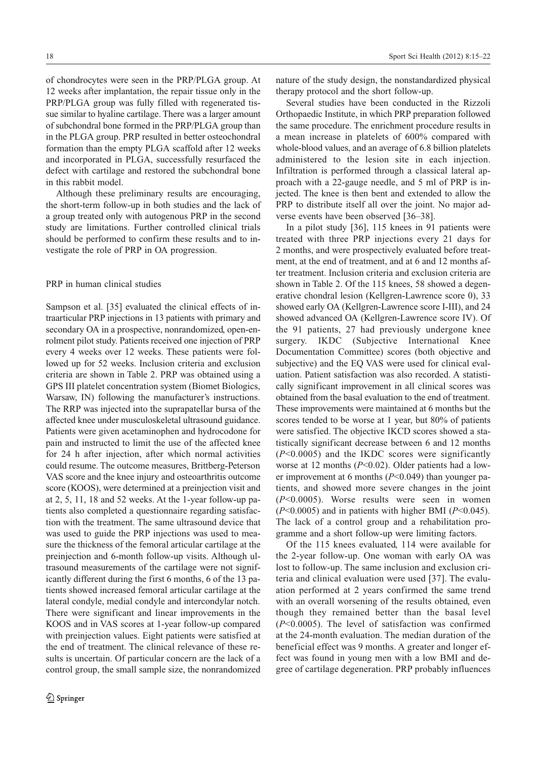of chondrocytes were seen in the PRP/PLGA group. At 12 weeks after implantation, the repair tissue only in the PRP/PLGA group was fully filled with regenerated tissue similar to hyaline cartilage. There was a larger amount of subchondral bone formed in the PRP/PLGA group than in the PLGA group. PRP resulted in better osteochondral formation than the empty PLGA scaffold after 12 weeks and incorporated in PLGA, successfully resurfaced the defect with cartilage and restored the subchondral bone in this rabbit model.

Although these preliminary results are encouraging, the short-term follow-up in both studies and the lack of a group treated only with autogenous PRP in the second study are limitations. Further controlled clinical trials should be performed to confirm these results and to investigate the role of PRP in OA progression.

# PRP in human clinical studies

Sampson et al. [35] evaluated the clinical effects of intraarticular PRP injections in 13 patients with primary and secondary OA in a prospective, nonrandomized, open-enrolment pilot study. Patients received one injection of PRP every 4 weeks over 12 weeks. These patients were followed up for 52 weeks. Inclusion criteria and exclusion criteria are shown in Table 2. PRP was obtained using a GPS III platelet concentration system (Biomet Biologics, Warsaw, IN) following the manufacturer's instructions. The RRP was injected into the suprapatellar bursa of the affected knee under musculoskeletal ultrasound guidance. Patients were given acetaminophen and hydrocodone for pain and instructed to limit the use of the affected knee for 24 h after injection, after which normal activities could resume. The outcome measures, Brittberg-Peterson VAS score and the knee injury and osteoarthritis outcome score (KOOS), were determined at a preinjection visit and at 2, 5, 11, 18 and 52 weeks. At the 1-year follow-up patients also completed a questionnaire regarding satisfaction with the treatment. The same ultrasound device that was used to guide the PRP injections was used to measure the thickness of the femoral articular cartilage at the preinjection and 6-month follow-up visits. Although ultrasound measurements of the cartilage were not significantly different during the first 6 months, 6 of the 13 patients showed increased femoral articular cartilage at the lateral condyle, medial condyle and intercondylar notch. There were significant and linear improvements in the KOOS and in VAS scores at 1-year follow-up compared with preinjection values. Eight patients were satisfied at the end of treatment. The clinical relevance of these results is uncertain. Of particular concern are the lack of a control group, the small sample size, the nonrandomized nature of the study design, the nonstandardized physical therapy protocol and the short follow-up.

Several studies have been conducted in the Rizzoli Orthopaedic Institute, in which PRP preparation followed the same procedure. The enrichment procedure results in a mean increase in platelets of 600% compared with whole-blood values, and an average of 6.8 billion platelets administered to the lesion site in each injection. Infiltration is performed through a classical lateral approach with a 22-gauge needle, and 5 ml of PRP is injected. The knee is then bent and extended to allow the PRP to distribute itself all over the joint. No major adverse events have been observed [36–38].

In a pilot study [36], 115 knees in 91 patients were treated with three PRP injections every 21 days for 2 months, and were prospectively evaluated before treatment, at the end of treatment, and at 6 and 12 months after treatment. Inclusion criteria and exclusion criteria are shown in Table 2. Of the 115 knees, 58 showed a degenerative chondral lesion (Kellgren-Lawrence score 0), 33 showed early OA (Kellgren-Lawrence score I-III), and 24 showed advanced OA (Kellgren-Lawrence score IV). Of the 91 patients, 27 had previously undergone knee surgery. IKDC (Subjective International Knee Documentation Committee) scores (both objective and subjective) and the EQ VAS were used for clinical evaluation. Patient satisfaction was also recorded. A statistically significant improvement in all clinical scores was obtained from the basal evaluation to the end of treatment. These improvements were maintained at 6 months but the scores tended to be worse at 1 year, but 80% of patients were satisfied. The objective IKCD scores showed a statistically significant decrease between 6 and 12 months (*P*<0.0005) and the IKDC scores were significantly worse at 12 months ( $P<0.02$ ). Older patients had a lower improvement at 6 months (*P*<0.049) than younger patients, and showed more severe changes in the joint (*P*<0.0005). Worse results were seen in women (*P*<0.0005) and in patients with higher BMI (*P*<0.045). The lack of a control group and a rehabilitation programme and a short follow-up were limiting factors.

Of the 115 knees evaluated, 114 were available for the 2-year follow-up. One woman with early OA was lost to follow-up. The same inclusion and exclusion criteria and clinical evaluation were used [37]. The evaluation performed at 2 years confirmed the same trend with an overall worsening of the results obtained, even though they remained better than the basal level (*P*<0.0005). The level of satisfaction was confirmed at the 24-month evaluation. The median duration of the beneficial effect was 9 months. A greater and longer effect was found in young men with a low BMI and degree of cartilage degeneration. PRP probably influences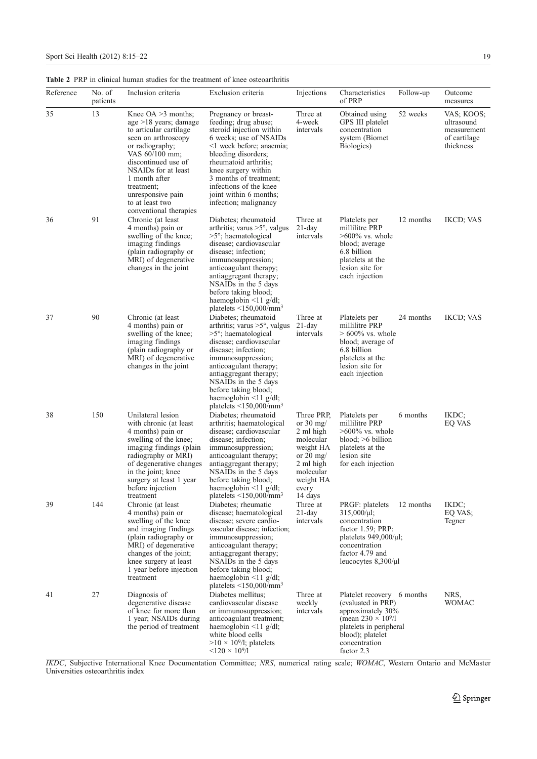# **Table 2** PRP in clinical human studies for the treatment of knee osteoarthritis

| Reference | No. of<br>patients | Inclusion criteria                                                                                                                                                                                                                                                                     | Exclusion criteria                                                                                                                                                                                                                                                                                                                             | Injections                                                                                                                                        | Characteristics<br>of PRP                                                                                                                                                        | Follow-up | Outcome<br>measures                                                  |
|-----------|--------------------|----------------------------------------------------------------------------------------------------------------------------------------------------------------------------------------------------------------------------------------------------------------------------------------|------------------------------------------------------------------------------------------------------------------------------------------------------------------------------------------------------------------------------------------------------------------------------------------------------------------------------------------------|---------------------------------------------------------------------------------------------------------------------------------------------------|----------------------------------------------------------------------------------------------------------------------------------------------------------------------------------|-----------|----------------------------------------------------------------------|
| 35        | 13                 | Knee $OA \geq 3$ months;<br>age >18 years; damage<br>to articular cartilage<br>seen on arthroscopy<br>or radiography;<br>VAS 60/100 mm;<br>discontinued use of<br>NSAIDs for at least<br>1 month after<br>treatment;<br>unresponsive pain<br>to at least two<br>conventional therapies | Pregnancy or breast-<br>feeding; drug abuse;<br>steroid injection within<br>6 weeks; use of NSAIDs<br><1 week before; anaemia;<br>bleeding disorders;<br>rheumatoid arthritis;<br>knee surgery within<br>3 months of treatment;<br>infections of the knee<br>joint within 6 months;<br>infection; malignancy                                   | Three at<br>4-week<br>intervals                                                                                                                   | Obtained using<br>GPS III platelet<br>concentration<br>system (Biomet<br>Biologics)                                                                                              | 52 weeks  | VAS; KOOS;<br>ultrasound<br>measurement<br>of cartilage<br>thickness |
| 36        | 91                 | Chronic (at least<br>4 months) pain or<br>swelling of the knee;<br>imaging findings<br>(plain radiography or<br>MRI) of degenerative<br>changes in the joint                                                                                                                           | Diabetes; rheumatoid<br>arthritis; varus $>5^\circ$ , valgus<br>$>5^\circ$ ; haematological<br>disease; cardiovascular<br>disease; infection;<br>immunosuppression;<br>anticoagulant therapy;<br>antiaggregant therapy;<br>NSAIDs in the 5 days<br>before taking blood;<br>haemoglobin $\leq$ 11 g/dl;<br>platelets $\leq 150,000/\text{mm}^3$ | Three at<br>$21$ -day<br>intervals                                                                                                                | Platelets per<br>millilitre PRP<br>$>600\%$ vs. whole<br>blood; average<br>6.8 billion<br>platelets at the<br>lesion site for<br>each injection                                  | 12 months | IKCD; VAS                                                            |
| 37        | 90                 | Chronic (at least<br>4 months) pain or<br>swelling of the knee;<br>imaging findings<br>(plain radiography or<br>MRI) of degenerative<br>changes in the joint                                                                                                                           | Diabetes: rheumatoid<br>arthritis; varus $>5^\circ$ , valgus<br>>5°; haematological<br>disease; cardiovascular<br>disease; infection;<br>immunosuppression;<br>anticoagulant therapy;<br>antiaggregant therapy;<br>NSAIDs in the 5 days<br>before taking blood;<br>haemoglobin $\leq$ 11 g/dl;<br>platelets $\leq 150,000/\text{mm}^3$         | Three at<br>$21$ -day<br>intervals                                                                                                                | Platelets per<br>millilitre PRP<br>$> 600\%$ vs. whole<br>blood; average of<br>6.8 billion<br>platelets at the<br>lesion site for<br>each injection                              | 24 months | IKCD; VAS                                                            |
| 38        | 150                | Unilateral lesion<br>with chronic (at least<br>4 months) pain or<br>swelling of the knee;<br>imaging findings (plain<br>radiography or MRI)<br>of degenerative changes<br>in the joint; knee<br>surgery at least 1 year<br>before injection<br>treatment                               | Diabetes; rheumatoid<br>arthritis; haematological<br>disease; cardiovascular<br>disease; infection;<br>immunosuppression;<br>anticoagulant therapy;<br>antiaggregant therapy;<br>NSAIDs in the 5 days<br>before taking blood;<br>haemoglobin $\leq$ 11 g/dl;<br>platelets $\leq 150,000/\text{mm}^3$                                           | Three PRP.<br>or $30 \text{ mg}$<br>2 ml high<br>molecular<br>weight HA<br>or 20 $mg/$<br>2 ml high<br>molecular<br>weight HA<br>every<br>14 days | Platelets per<br>millilitre PRP<br>$>600\%$ vs. whole<br>blood; $>6$ billion<br>platelets at the<br>lesion site<br>for each injection                                            | 6 months  | IKDC;<br>EQ VAS                                                      |
| 39        | 144                | Chronic (at least<br>4 months) pain or<br>swelling of the knee<br>and imaging findings<br>(plain radiography or<br>MRI) of degenerative<br>changes of the joint;<br>knee surgery at least<br>1 year before injection<br>treatment                                                      | Diabetes; rheumatic<br>disease; haematological<br>disease; severe cardio-<br>vascular disease; infection;<br>immunosuppression;<br>anticoagulant therapy;<br>antiaggregant therapy;<br>NSAIDs in the 5 days<br>before taking blood;<br>haemoglobin $\leq$ 11 g/dl;<br>platelets $\leq 150,000$ /mm <sup>3</sup>                                | Three at<br>$21$ -day<br>intervals                                                                                                                | PRGF: platelets<br>$315,000/\mu l$ ;<br>concentration<br>factor $1.59$ ; PRP:<br>platelets $949,000/\mu l$ ;<br>concentration<br>factor 4.79 and<br>leucocytes $8,300/\mu$ l     | 12 months | IKDC:<br>EQ VAS;<br>Tegner                                           |
| 41        | 27                 | Diagnosis of<br>degenerative disease<br>of knee for more than<br>1 year; NSAIDs during<br>the period of treatment                                                                                                                                                                      | Diabetes mellitus;<br>cardiovascular disease<br>or immunosuppression;<br>anticoagulant treatment;<br>haemoglobin $\leq$ 11 g/dl;<br>white blood cells<br>$>10 \times 10^9$ /l; platelets<br>$\leq$ 120 $\times$ 10 <sup>9</sup> /1                                                                                                             | Three at<br>weekly<br>intervals                                                                                                                   | Platelet recovery 6 months<br>(evaluated in PRP)<br>approximately 30%<br>(mean $230 \times 10^9/1$<br>platelets in peripheral<br>blood); platelet<br>concentration<br>factor 2.3 |           | NRS,<br><b>WOMAC</b>                                                 |

*IKDC*, Subjective International Knee Documentation Committee; *NRS*, numerical rating scale; *WOMAC*, Western Ontario and McMaster Universities osteoarthritis index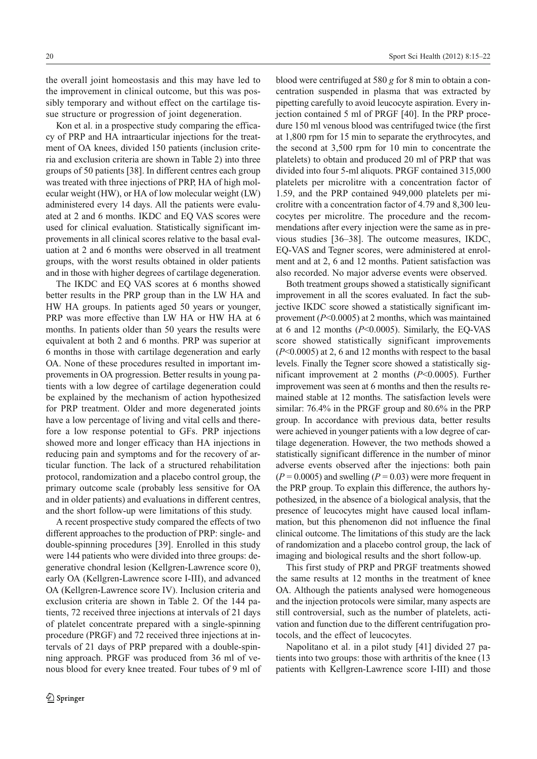the overall joint homeostasis and this may have led to the improvement in clinical outcome, but this was possibly temporary and without effect on the cartilage tissue structure or progression of joint degeneration.

Kon et al. in a prospective study comparing the efficacy of PRP and HA intraarticular injections for the treatment of OA knees, divided 150 patients (inclusion criteria and exclusion criteria are shown in Table 2) into three groups of 50 patients [38]. In different centres each group was treated with three injections of PRP, HA of high molecular weight (HW), or HA of low molecular weight (LW) administered every 14 days. All the patients were evaluated at 2 and 6 months. IKDC and EQ VAS scores were used for clinical evaluation. Statistically significant improvements in all clinical scores relative to the basal evaluation at 2 and 6 months were observed in all treatment groups, with the worst results obtained in older patients and in those with higher degrees of cartilage degeneration.

The IKDC and EQ VAS scores at 6 months showed better results in the PRP group than in the LW HA and HW HA groups. In patients aged 50 years or younger, PRP was more effective than LW HA or HW HA at 6 months. In patients older than 50 years the results were equivalent at both 2 and 6 months. PRP was superior at 6 months in those with cartilage degeneration and early OA. None of these procedures resulted in important improvements in OA progression. Better results in young patients with a low degree of cartilage degeneration could be explained by the mechanism of action hypothesized for PRP treatment. Older and more degenerated joints have a low percentage of living and vital cells and therefore a low response potential to GFs. PRP injections showed more and longer efficacy than HA injections in reducing pain and symptoms and for the recovery of articular function. The lack of a structured rehabilitation protocol, randomization and a placebo control group, the primary outcome scale (probably less sensitive for OA and in older patients) and evaluations in different centres, and the short follow-up were limitations of this study.

A recent prospective study compared the effects of two different approaches to the production of PRP: single- and double-spinning procedures [39]. Enrolled in this study were 144 patients who were divided into three groups: degenerative chondral lesion (Kellgren-Lawrence score 0), early OA (Kellgren-Lawrence score I-III), and advanced OA (Kellgren-Lawrence score IV). Inclusion criteria and exclusion criteria are shown in Table 2. Of the 144 patients, 72 received three injections at intervals of 21 days of platelet concentrate prepared with a single-spinning procedure (PRGF) and 72 received three injections at intervals of 21 days of PRP prepared with a double-spinning approach. PRGF was produced from 36 ml of venous blood for every knee treated. Four tubes of 9 ml of blood were centrifuged at 580 *g* for 8 min to obtain a concentration suspended in plasma that was extracted by pipetting carefully to avoid leucocyte aspiration. Every injection contained 5 ml of PRGF [40]. In the PRP procedure 150 ml venous blood was centrifuged twice (the first at 1,800 rpm for 15 min to separate the erythrocytes, and the second at 3,500 rpm for 10 min to concentrate the platelets) to obtain and produced 20 ml of PRP that was divided into four 5-ml aliquots. PRGF contained 315,000 platelets per microlitre with a concentration factor of 1.59, and the PRP contained 949,000 platelets per microlitre with a concentration factor of 4.79 and 8,300 leucocytes per microlitre. The procedure and the recommendations after every injection were the same as in previous studies [36–38]. The outcome measures, IKDC, EQ-VAS and Tegner scores, were administered at enrolment and at 2, 6 and 12 months. Patient satisfaction was also recorded. No major adverse events were observed.

Both treatment groups showed a statistically significant improvement in all the scores evaluated. In fact the subjective IKDC score showed a statistically significant improvement (*P*<0.0005) at 2 months, which was maintained at 6 and 12 months (*P*<0.0005). Similarly, the EQ-VAS score showed statistically significant improvements (*P*<0.0005) at 2, 6 and 12 months with respect to the basal levels. Finally the Tegner score showed a statistically significant improvement at 2 months (*P*<0.0005). Further improvement was seen at 6 months and then the results remained stable at 12 months. The satisfaction levels were similar: 76.4% in the PRGF group and 80.6% in the PRP group. In accordance with previous data, better results were achieved in younger patients with a low degree of cartilage degeneration. However, the two methods showed a statistically significant difference in the number of minor adverse events observed after the injections: both pain  $(P = 0.0005)$  and swelling  $(P = 0.03)$  were more frequent in the PRP group. To explain this difference, the authors hypothesized, in the absence of a biological analysis, that the presence of leucocytes might have caused local inflammation, but this phenomenon did not influence the final clinical outcome. The limitations of this study are the lack of randomization and a placebo control group, the lack of imaging and biological results and the short follow-up.

This first study of PRP and PRGF treatments showed the same results at 12 months in the treatment of knee OA. Although the patients analysed were homogeneous and the injection protocols were similar, many aspects are still controversial, such as the number of platelets, activation and function due to the different centrifugation protocols, and the effect of leucocytes.

Napolitano et al. in a pilot study [41] divided 27 patients into two groups: those with arthritis of the knee (13 patients with Kellgren-Lawrence score I-III) and those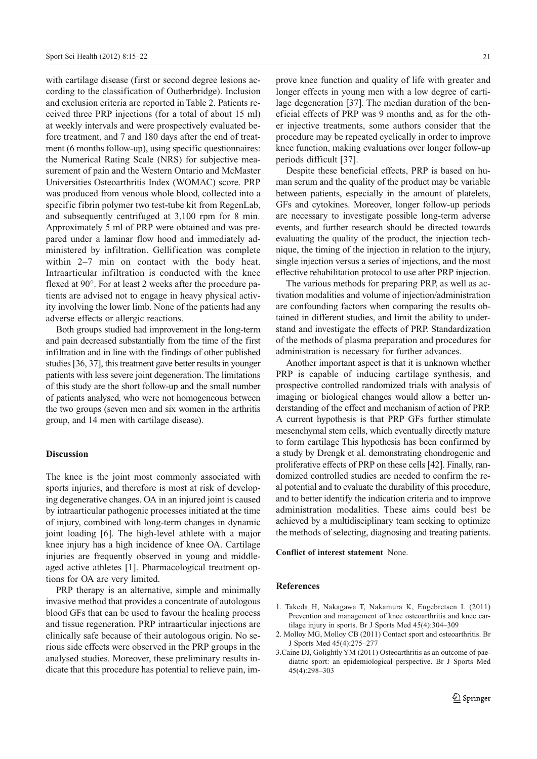with cartilage disease (first or second degree lesions according to the classification of Outherbridge). Inclusion and exclusion criteria are reported in Table 2. Patients received three PRP injections (for a total of about 15 ml) at weekly intervals and were prospectively evaluated before treatment, and 7 and 180 days after the end of treatment (6 months follow-up), using specific questionnaires: the Numerical Rating Scale (NRS) for subjective measurement of pain and the Western Ontario and McMaster Universities Osteoarthritis Index (WOMAC) score. PRP was produced from venous whole blood, collected into a specific fibrin polymer two test-tube kit from RegenLab, and subsequently centrifuged at 3,100 rpm for 8 min. Approximately 5 ml of PRP were obtained and was prepared under a laminar flow hood and immediately administered by infiltration. Gellification was complete within 2–7 min on contact with the body heat. Intraarticular infiltration is conducted with the knee flexed at 90°. For at least 2 weeks after the procedure patients are advised not to engage in heavy physical activity involving the lower limb. None of the patients had any adverse effects or allergic reactions.

Both groups studied had improvement in the long-term and pain decreased substantially from the time of the first infiltration and in line with the findings of other published studies [36, 37], this treatment gave better results in younger patients with less severe joint degeneration. The limitations of this study are the short follow-up and the small number of patients analysed, who were not homogeneous between the two groups (seven men and six women in the arthritis group, and 14 men with cartilage disease).

#### **Discussion**

The knee is the joint most commonly associated with sports injuries, and therefore is most at risk of developing degenerative changes. OA in an injured joint is caused by intraarticular pathogenic processes initiated at the time of injury, combined with long-term changes in dynamic joint loading [6]. The high-level athlete with a major knee injury has a high incidence of knee OA. Cartilage injuries are frequently observed in young and middleaged active athletes [1]. Pharmacological treatment options for OA are very limited.

PRP therapy is an alternative, simple and minimally invasive method that provides a concentrate of autologous blood GFs that can be used to favour the healing process and tissue regeneration. PRP intraarticular injections are clinically safe because of their autologous origin. No serious side effects were observed in the PRP groups in the analysed studies. Moreover, these preliminary results indicate that this procedure has potential to relieve pain, improve knee function and quality of life with greater and longer effects in young men with a low degree of cartilage degeneration [37]. The median duration of the beneficial effects of PRP was 9 months and, as for the other injective treatments, some authors consider that the procedure may be repeated cyclically in order to improve knee function, making evaluations over longer follow-up periods difficult [37].

Despite these beneficial effects, PRP is based on human serum and the quality of the product may be variable between patients, especially in the amount of platelets, GFs and cytokines. Moreover, longer follow-up periods are necessary to investigate possible long-term adverse events, and further research should be directed towards evaluating the quality of the product, the injection technique, the timing of the injection in relation to the injury, single injection versus a series of injections, and the most effective rehabilitation protocol to use after PRP injection.

The various methods for preparing PRP, as well as activation modalities and volume of injection/administration are confounding factors when comparing the results obtained in different studies, and limit the ability to understand and investigate the effects of PRP. Standardization of the methods of plasma preparation and procedures for administration is necessary for further advances.

Another important aspect is that it is unknown whether PRP is capable of inducing cartilage synthesis, and prospective controlled randomized trials with analysis of imaging or biological changes would allow a better understanding of the effect and mechanism of action of PRP. A current hypothesis is that PRP GFs further stimulate mesenchymal stem cells, which eventually directly mature to form cartilage This hypothesis has been confirmed by a study by Drengk et al. demonstrating chondrogenic and proliferative effects of PRP on these cells [42]. Finally, randomized controlled studies are needed to confirm the real potential and to evaluate the durability of this procedure, and to better identify the indication criteria and to improve administration modalities. These aims could best be achieved by a multidisciplinary team seeking to optimize the methods of selecting, diagnosing and treating patients.

#### **Conflict of interest statement** None.

#### **References**

- 1. Takeda H, Nakagawa T, Nakamura K, Engebretsen L (2011) Prevention and management of knee osteoarthritis and knee cartilage injury in sports. Br J Sports Med 45(4):304–309
- 2. Molloy MG, Molloy CB (2011) Contact sport and osteoarthritis. Br J Sports Med 45(4):275–277
- 3.Caine DJ, Golightly YM (2011) Osteoarthritis as an outcome of paediatric sport: an epidemiological perspective. Br J Sports Med 45(4):298–303